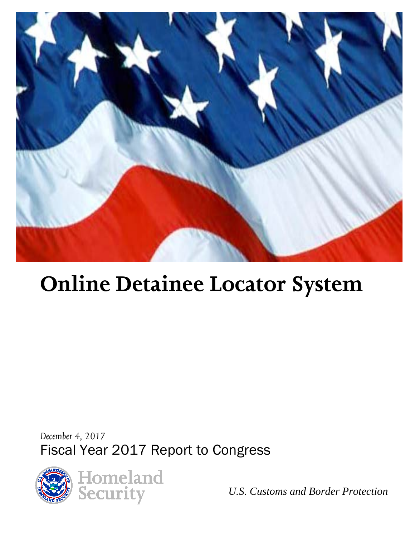

# **Online Detainee Locator System**

*December 4, 2017* Fiscal Year 2017 Report to Congress



*U.S. Customs and Border Protection*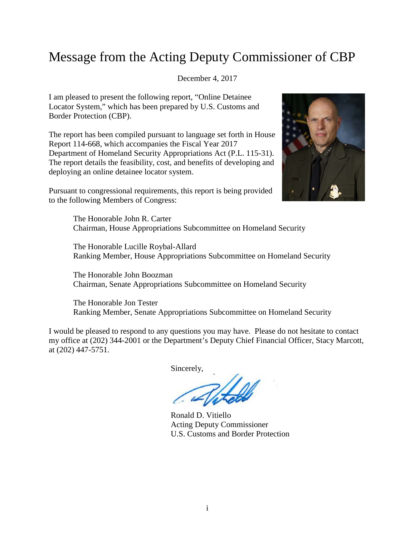## Message from the Acting Deputy Commissioner of CBP

#### December 4, 2017

I am pleased to present the following report, "Online Detainee Locator System," which has been prepared by U.S. Customs and Border Protection (CBP).

The report has been compiled pursuant to language set forth in House Report 114-668, which accompanies the Fiscal Year 2017 Department of Homeland Security Appropriations Act (P.L. 115-31). The report details the feasibility, cost, and benefits of developing and deploying an online detainee locator system.

Pursuant to congressional requirements, this report is being provided to the following Members of Congress:



The Honorable John R. Carter Chairman, House Appropriations Subcommittee on Homeland Security

The Honorable Lucille Roybal-Allard Ranking Member, House Appropriations Subcommittee on Homeland Security

The Honorable John Boozman Chairman, Senate Appropriations Subcommittee on Homeland Security

The Honorable Jon Tester Ranking Member, Senate Appropriations Subcommittee on Homeland Security

I would be pleased to respond to any questions you may have. Please do not hesitate to contact my office at (202) 344-2001 or the Department's Deputy Chief Financial Officer, Stacy Marcott, at (202) 447-5751.

Sincerely,

Ronald D. Vitiello Acting Deputy Commissioner U.S. Customs and Border Protection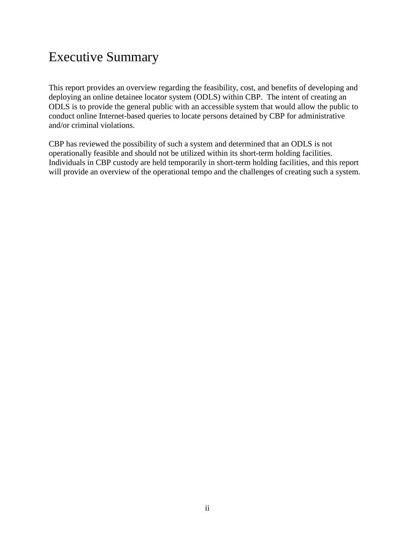## Executive Summary

This report provides an overview regarding the feasibility, cost, and benefits of developing and deploying an online detainee locator system (ODLS) within CBP. The intent of creating an ODLS is to provide the general public with an accessible system that would allow the public to conduct online Internet-based queries to locate persons detained by CBP for administrative and/or criminal violations.

CBP has reviewed the possibility of such a system and determined that an ODLS is not operationally feasible and should not be utilized within its short-term holding facilities. Individuals in CBP custody are held temporarily in short-term holding facilities, and this report will provide an overview of the operational tempo and the challenges of creating such a system.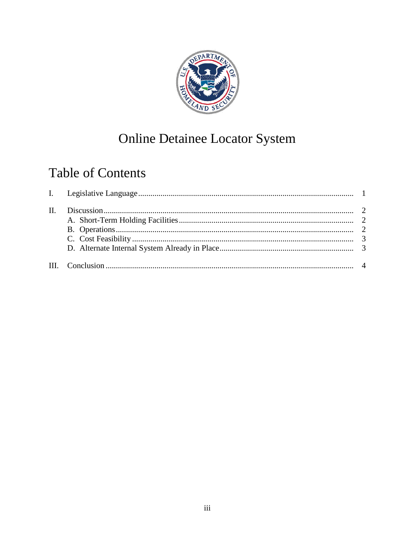

## **Online Detainee Locator System**

## **Table of Contents**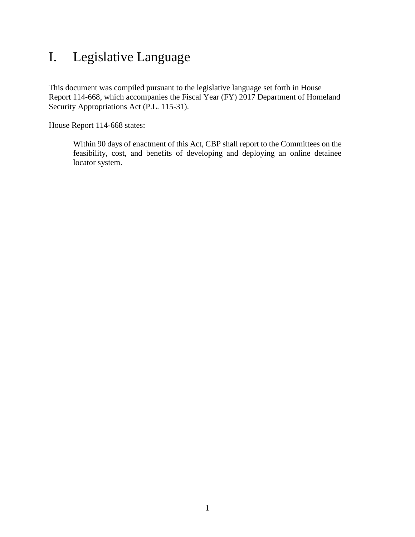## <span id="page-4-0"></span>I. Legislative Language

This document was compiled pursuant to the legislative language set forth in House Report 114-668, which accompanies the Fiscal Year (FY) 2017 Department of Homeland Security Appropriations Act (P.L. 115-31).

House Report 114-668 states:

Within 90 days of enactment of this Act, CBP shall report to the Committees on the feasibility, cost, and benefits of developing and deploying an online detainee locator system.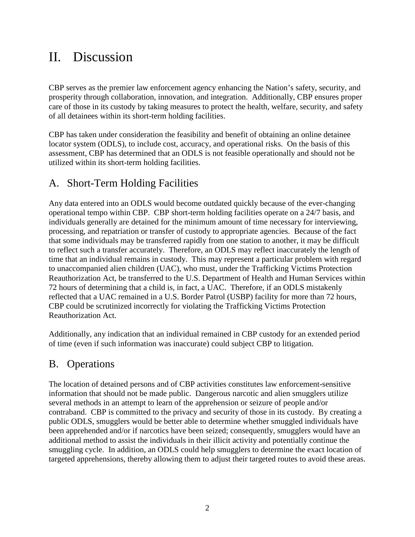## <span id="page-5-0"></span>II. Discussion

CBP serves as the premier law enforcement agency enhancing the Nation's safety, security, and prosperity through collaboration, innovation, and integration. Additionally, CBP ensures proper care of those in its custody by taking measures to protect the health, welfare, security, and safety of all detainees within its short-term holding facilities.

CBP has taken under consideration the feasibility and benefit of obtaining an online detainee locator system (ODLS), to include cost, accuracy, and operational risks. On the basis of this assessment, CBP has determined that an ODLS is not feasible operationally and should not be utilized within its short-term holding facilities.

#### <span id="page-5-1"></span>A. Short-Term Holding Facilities

Any data entered into an ODLS would become outdated quickly because of the ever-changing operational tempo within CBP. CBP short-term holding facilities operate on a 24/7 basis, and individuals generally are detained for the minimum amount of time necessary for interviewing, processing, and repatriation or transfer of custody to appropriate agencies. Because of the fact that some individuals may be transferred rapidly from one station to another, it may be difficult to reflect such a transfer accurately. Therefore, an ODLS may reflect inaccurately the length of time that an individual remains in custody. This may represent a particular problem with regard to unaccompanied alien children (UAC), who must, under the Trafficking Victims Protection Reauthorization Act, be transferred to the U.S. Department of Health and Human Services within 72 hours of determining that a child is, in fact, a UAC. Therefore, if an ODLS mistakenly reflected that a UAC remained in a U.S. Border Patrol (USBP) facility for more than 72 hours, CBP could be scrutinized incorrectly for violating the Trafficking Victims Protection Reauthorization Act.

Additionally, any indication that an individual remained in CBP custody for an extended period of time (even if such information was inaccurate) could subject CBP to litigation.

#### <span id="page-5-2"></span>B. Operations

The location of detained persons and of CBP activities constitutes law enforcement-sensitive information that should not be made public. Dangerous narcotic and alien smugglers utilize several methods in an attempt to learn of the apprehension or seizure of people and/or contraband. CBP is committed to the privacy and security of those in its custody. By creating a public ODLS, smugglers would be better able to determine whether smuggled individuals have been apprehended and/or if narcotics have been seized; consequently, smugglers would have an additional method to assist the individuals in their illicit activity and potentially continue the smuggling cycle. In addition, an ODLS could help smugglers to determine the exact location of targeted apprehensions, thereby allowing them to adjust their targeted routes to avoid these areas.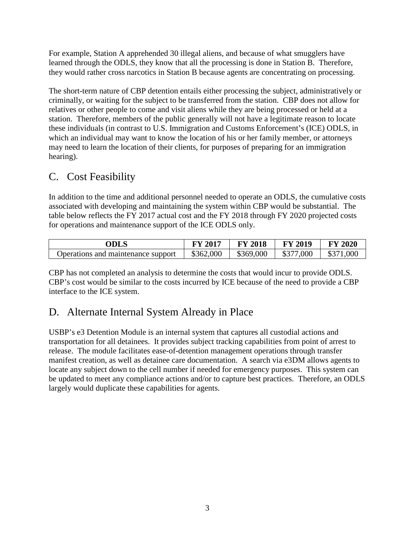For example, Station A apprehended 30 illegal aliens, and because of what smugglers have learned through the ODLS, they know that all the processing is done in Station B. Therefore, they would rather cross narcotics in Station B because agents are concentrating on processing.

The short-term nature of CBP detention entails either processing the subject, administratively or criminally, or waiting for the subject to be transferred from the station. CBP does not allow for relatives or other people to come and visit aliens while they are being processed or held at a station. Therefore, members of the public generally will not have a legitimate reason to locate these individuals (in contrast to U.S. Immigration and Customs Enforcement's (ICE) ODLS, in which an individual may want to know the location of his or her family member, or attorneys may need to learn the location of their clients, for purposes of preparing for an immigration hearing).

#### <span id="page-6-0"></span>C. Cost Feasibility

In addition to the time and additional personnel needed to operate an ODLS, the cumulative costs associated with developing and maintaining the system within CBP would be substantial. The table below reflects the FY 2017 actual cost and the FY 2018 through FY 2020 projected costs for operations and maintenance support of the ICE ODLS only.

| ODLS                               | <b>FY 2017</b> | <b>FY 2018</b> | <b>FY 2019</b> | <b>FY 2020</b> |
|------------------------------------|----------------|----------------|----------------|----------------|
| Operations and maintenance support | \$362,000      | \$369,000      | \$377,000      | \$371,000      |

CBP has not completed an analysis to determine the costs that would incur to provide ODLS. CBP's cost would be similar to the costs incurred by ICE because of the need to provide a CBP interface to the ICE system.

#### <span id="page-6-1"></span>D. Alternate Internal System Already in Place

USBP's e3 Detention Module is an internal system that captures all custodial actions and transportation for all detainees. It provides subject tracking capabilities from point of arrest to release. The module facilitates ease-of-detention management operations through transfer manifest creation, as well as detainee care documentation. A search via e3DM allows agents to locate any subject down to the cell number if needed for emergency purposes. This system can be updated to meet any compliance actions and/or to capture best practices. Therefore, an ODLS largely would duplicate these capabilities for agents.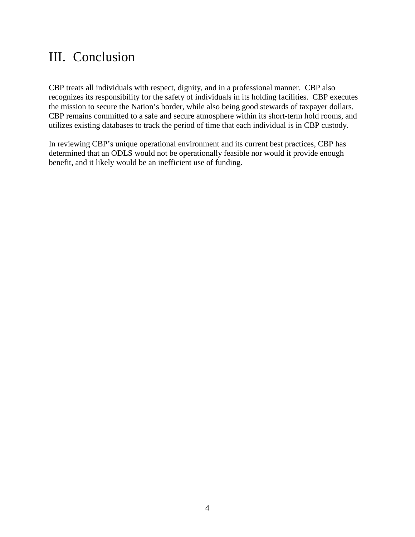#### <span id="page-7-0"></span>III. Conclusion

CBP treats all individuals with respect, dignity, and in a professional manner. CBP also recognizes its responsibility for the safety of individuals in its holding facilities. CBP executes the mission to secure the Nation's border, while also being good stewards of taxpayer dollars. CBP remains committed to a safe and secure atmosphere within its short-term hold rooms, and utilizes existing databases to track the period of time that each individual is in CBP custody.

In reviewing CBP's unique operational environment and its current best practices, CBP has determined that an ODLS would not be operationally feasible nor would it provide enough benefit, and it likely would be an inefficient use of funding.